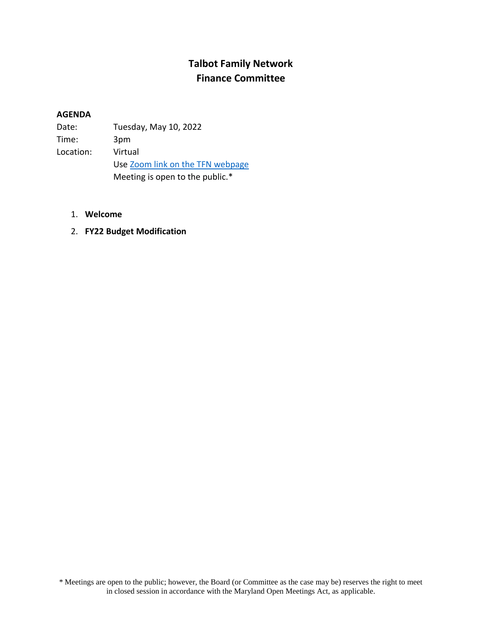## **Talbot Family Network Finance Committee**

## **AGENDA**

| Date:     | Tuesday, May 10, 2022            |
|-----------|----------------------------------|
| Time:     | 3pm                              |
| Location: | Virtual                          |
|           | Use Zoom link on the TFN webpage |
|           | Meeting is open to the public.*  |

- 1. **Welcome**
- 2. **FY22 Budget Modification**